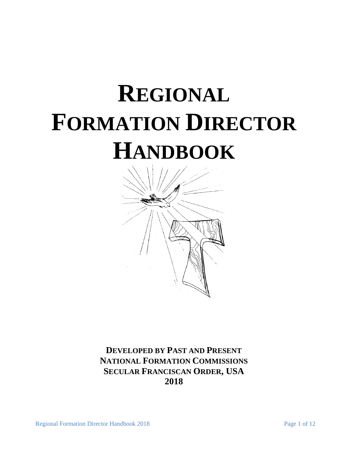# **REGIONAL FORMATION DIRECTOR HANDBOOK**



**DEVELOPED BY PAST AND PRESENT NATIONAL FORMATION COMMISSIONS SECULAR FRANCISCAN ORDER, USA 2018**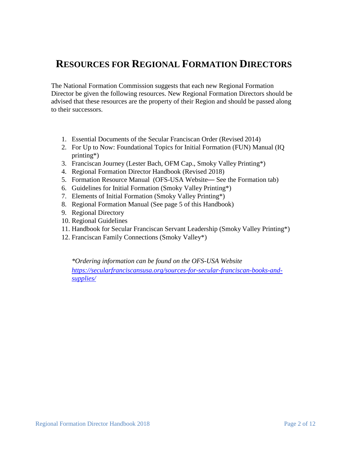# **RESOURCES FOR REGIONAL FORMATION DIRECTORS**

The National Formation Commission suggests that each new Regional Formation Director be given the following resources. New Regional Formation Directors should be advised that these resources are the property of their Region and should be passed along to their successors.

- 1. Essential Documents of the Secular Franciscan Order (Revised 2014)
- 2. For Up to Now: Foundational Topics for Initial Formation (FUN) Manual (IQ printing\*)
- 3. Franciscan Journey (Lester Bach, OFM Cap., Smoky Valley Printing\*)
- 4. Regional Formation Director Handbook (Revised 2018)
- 5. Formation Resource Manual (OFS-USA Website— See the Formation tab)
- 6. Guidelines for Initial Formation (Smoky Valley Printing\*)
- 7. Elements of Initial Formation (Smoky Valley Printing\*)
- 8. Regional Formation Manual (See page 5 of this Handbook)
- 9. Regional Directory
- 10. Regional Guidelines
- 11. Handbook for Secular Franciscan Servant Leadership (Smoky Valley Printing\*)
- 12. Franciscan Family Connections (Smoky Valley\*)

*\*Ordering information can be found on the OFS-USA Website [https://secularfranciscansusa.org/sources-for-secular-franciscan-books-and](https://secularfranciscansusa.org/sources-for-secular-franciscan-books-and-supplies/)[supplies/](https://secularfranciscansusa.org/sources-for-secular-franciscan-books-and-supplies/)*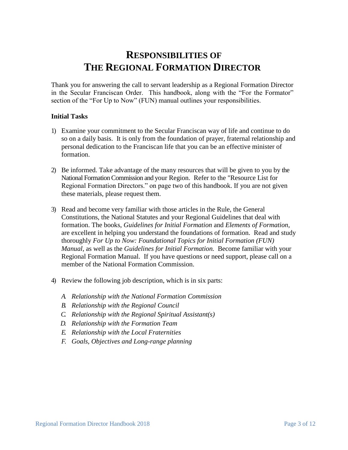# **RESPONSIBILITIES OF THE REGIONAL FORMATION DIRECTOR**

Thank you for answering the call to servant leadership as a Regional Formation Director in the Secular Franciscan Order. This handbook, along with the "For the Formator" section of the "For Up to Now" (FUN) manual outlines your responsibilities.

# **Initial Tasks**

- 1) Examine your commitment to the Secular Franciscan way of life and continue to do so on a daily basis. It is only from the foundation of prayer, fraternal relationship and personal dedication to the Franciscan life that you can be an effective minister of formation.
- 2) Be informed. Take advantage of the many resources that will be given to you by the National Formation Commission and your Region. Refer to the "Resource List for Regional Formation Directors." on page two of this handbook. If you are not given these materials, please request them.
- 3) Read and become very familiar with those articles in the Rule, the General Constitutions, the National Statutes and your Regional Guidelines that deal with formation. The books, *Guidelines for Initial Formation* and *Elements of Formation*, are excellent in helping you understand the foundations of formation. Read and study thoroughly *For Up to Now: Foundational Topics for Initial Formation (FUN) Manual,* as well as the *Guidelines for Initial Formation.* Become familiar with your Regional Formation Manual. If you have questions or need support, please call on a member of the National Formation Commission.
- 4) Review the following job description, which is in six parts:
	- *A. Relationship with the National Formation Commission*
	- *B. Relationship with the Regional Council*
	- *C. Relationship with the Regional Spiritual Assistant(s)*
	- *D. Relationship with the Formation Team*
	- *E. Relationship with the Local Fraternities*
	- *F. Goals, Objectives and Long-range planning*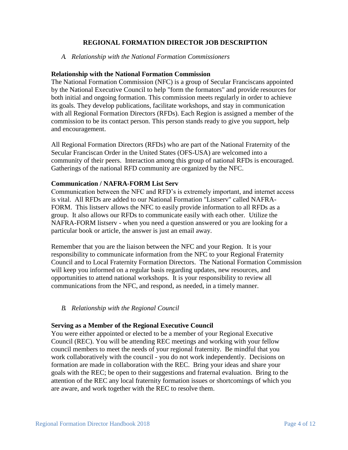# **REGIONAL FORMATION DIRECTOR JOB DESCRIPTION**

#### *A. Relationship with the National Formation Commissioners*

#### **Relationship with the National Formation Commission**

The National Formation Commission (NFC) is a group of Secular Franciscans appointed by the National Executive Council to help "form the formators" and provide resources for both initial and ongoing formation. This commission meets regularly in order to achieve its goals. They develop publications, facilitate workshops, and stay in communication with all Regional Formation Directors (RFDs). Each Region is assigned a member of the commission to be its contact person. This person stands ready to give you support, help and encouragement.

All Regional Formation Directors (RFDs) who are part of the National Fraternity of the Secular Franciscan Order in the United States (OFS-USA) are welcomed into a community of their peers. Interaction among this group of national RFDs is encouraged. Gatherings of the national RFD community are organized by the NFC.

#### **Communication / NAFRA-FORM List Serv**

Communication between the NFC and RFD's is extremely important, and internet access is vital. All RFDs are added to our National Formation "Listserv" called NAFRA-FORM. This listserv allows the NFC to easily provide information to all RFDs as a group. It also allows our RFDs to communicate easily with each other. Utilize the NAFRA-FORM listserv - when you need a question answered or you are looking for a particular book or article, the answer is just an email away.

Remember that you are the liaison between the NFC and your Region. It is your responsibility to communicate information from the NFC to your Regional Fraternity Council and to Local Fraternity Formation Directors. The National Formation Commission will keep you informed on a regular basis regarding updates, new resources, and opportunities to attend national workshops. It is your responsibility to review all communications from the NFC, and respond, as needed, in a timely manner.

# *B. Relationship with the Regional Council*

#### **Serving as a Member of the Regional Executive Council**

You were either appointed or elected to be a member of your Regional Executive Council (REC). You will be attending REC meetings and working with your fellow council members to meet the needs of your regional fraternity. Be mindful that you work collaboratively with the council - you do not work independently. Decisions on formation are made in collaboration with the REC. Bring your ideas and share your goals with the REC; be open to their suggestions and fraternal evaluation. Bring to the attention of the REC any local fraternity formation issues or shortcomings of which you are aware, and work together with the REC to resolve them.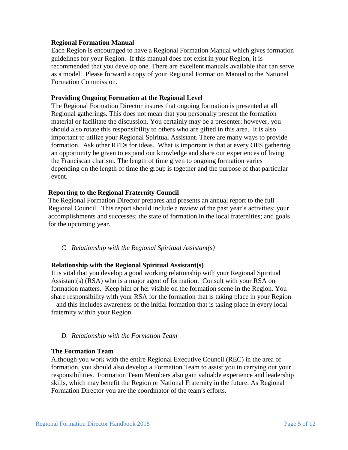# **Regional Formation Manual**

Each Region is encouraged to have a Regional Formation Manual which gives formation guidelines for your Region. If this manual does not exist in your Region, it is recommended that you develop one. There are excellent manuals available that can serve as a model. Please forward a copy of your Regional Formation Manual to the National Formation Commission.

#### **Providing Ongoing Formation at the Regional Level**

The Regional Formation Director insures that ongoing formation is presented at all Regional gatherings. This does not mean that you personally present the formation material or facilitate the discussion. You certainly may be a presenter; however, you should also rotate this responsibility to others who are gifted in this area. It is also important to utilize your Regional Spiritual Assistant. There are many ways to provide formation. Ask other RFDs for ideas. What is important is that at every OFS gathering an opportunity be given to expand our knowledge and share our experiences of living the Franciscan charism. The length of time given to ongoing formation varies depending on the length of time the group is together and the purpose of that particular event.

# **Reporting to the Regional Fraternity Council**

The Regional Formation Director prepares and presents an annual report to the full Regional Council. This report should include a review of the past year's activities; your accomplishments and successes; the state of formation in the local fraternities; and goals for the upcoming year.

*C. Relationship with the Regional Spiritual Assistant(s)*

# **Relationship with the Regional Spiritual Assistant(s)**

It is vital that you develop a good working relationship with your Regional Spiritual Assistant(s) (RSA) who is a major agent of formation. Consult with your RSA on formation matters. Keep him or her visible on the formation scene in the Region. You share responsibility with your RSA for the formation that is taking place in your Region – and this includes awareness of the initial formation that is taking place in every local fraternity within your Region.

#### *D. Relationship with the Formation Team*

#### **The Formation Team**

Although you work with the entire Regional Executive Council (REC) in the area of formation, you should also develop a Formation Team to assist you in carrying out your responsibilities. Formation Team Members also gain valuable experience and leadership skills, which may benefit the Region or National Fraternity in the future. As Regional Formation Director you are the coordinator of the team's efforts.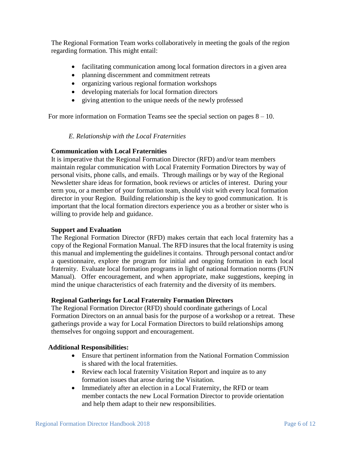The Regional Formation Team works collaboratively in meeting the goals of the region regarding formation. This might entail:

- facilitating communication among local formation directors in a given area
- planning discernment and commitment retreats
- organizing various regional formation workshops
- developing materials for local formation directors
- giving attention to the unique needs of the newly professed

For more information on Formation Teams see the special section on pages  $8 - 10$ .

# *E. Relationship with the Local Fraternities*

# **Communication with Local Fraternities**

It is imperative that the Regional Formation Director (RFD) and/or team members maintain regular communication with Local Fraternity Formation Directors by way of personal visits, phone calls, and emails. Through mailings or by way of the Regional Newsletter share ideas for formation, book reviews or articles of interest. During your term you, or a member of your formation team, should visit with every local formation director in your Region. Building relationship is the key to good communication. It is important that the local formation directors experience you as a brother or sister who is willing to provide help and guidance.

# **Support and Evaluation**

The Regional Formation Director (RFD) makes certain that each local fraternity has a copy of the Regional Formation Manual. The RFD insures that the local fraternity is using this manual and implementing the guidelines it contains. Through personal contact and/or a questionnaire, explore the program for initial and ongoing formation in each local fraternity. Evaluate local formation programs in light of national formation norms (FUN Manual). Offer encouragement, and when appropriate, make suggestions, keeping in mind the unique characteristics of each fraternity and the diversity of its members.

# **Regional Gatherings for Local Fraternity Formation Directors**

The Regional Formation Director (RFD) should coordinate gatherings of Local Formation Directors on an annual basis for the purpose of a workshop or a retreat. These gatherings provide a way for Local Formation Directors to build relationships among themselves for ongoing support and encouragement.

# **Additional Responsibilities:**

- Ensure that pertinent information from the National Formation Commission is shared with the local fraternities.
- Review each local fraternity Visitation Report and inquire as to any formation issues that arose during the Visitation.
- Immediately after an election in a Local Fraternity, the RFD or team member contacts the new Local Formation Director to provide orientation and help them adapt to their new responsibilities.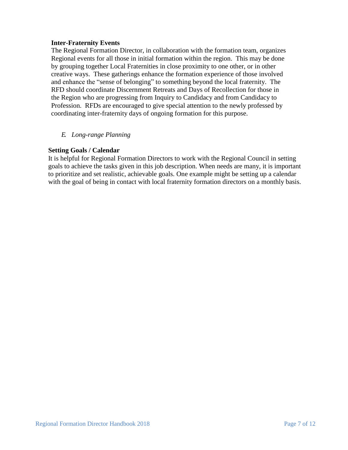# **Inter-Fraternity Events**

The Regional Formation Director, in collaboration with the formation team, organizes Regional events for all those in initial formation within the region. This may be done by grouping together Local Fraternities in close proximity to one other, or in other creative ways. These gatherings enhance the formation experience of those involved and enhance the "sense of belonging" to something beyond the local fraternity. The RFD should coordinate Discernment Retreats and Days of Recollection for those in the Region who are progressing from Inquiry to Candidacy and from Candidacy to Profession. RFDs are encouraged to give special attention to the newly professed by coordinating inter-fraternity days of ongoing formation for this purpose.

*E. Long-range Planning*

# **Setting Goals / Calendar**

It is helpful for Regional Formation Directors to work with the Regional Council in setting goals to achieve the tasks given in this job description. When needs are many, it is important to prioritize and set realistic, achievable goals. One example might be setting up a calendar with the goal of being in contact with local fraternity formation directors on a monthly basis.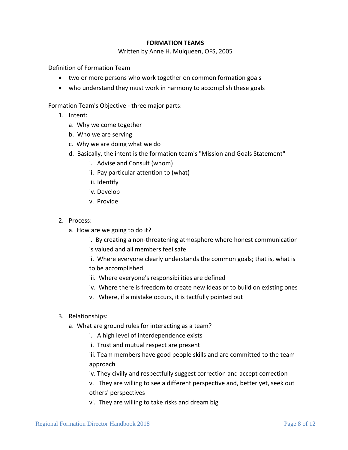#### **FORMATION TEAMS**

Written by Anne H. Mulqueen, OFS, 2005

Definition of Formation Team

- two or more persons who work together on common formation goals
- who understand they must work in harmony to accomplish these goals

Formation Team's Objective - three major parts:

- 1. Intent:
	- a. Why we come together
	- b. Who we are serving
	- c. Why we are doing what we do
	- d. Basically, the intent is the formation team's "Mission and Goals Statement"
		- i. Advise and Consult (whom)
		- ii. Pay particular attention to (what)
		- iii. Identify
		- iv. Develop
		- v. Provide
- 2. Process:
	- a. How are we going to do it?
		- i. By creating a non-threatening atmosphere where honest communication is valued and all members feel safe
		- ii. Where everyone clearly understands the common goals; that is, what is to be accomplished
		- iii. Where everyone's responsibilities are defined
		- iv. Where there is freedom to create new ideas or to build on existing ones
		- v. Where, if a mistake occurs, it is tactfully pointed out
- 3. Relationships:
	- a. What are ground rules for interacting as a team?
		- i. A high level of interdependence exists
		- ii. Trust and mutual respect are present

iii. Team members have good people skills and are committed to the team approach

iv. They civilly and respectfully suggest correction and accept correction

v. They are willing to see a different perspective and, better yet, seek out others' perspectives

vi. They are willing to take risks and dream big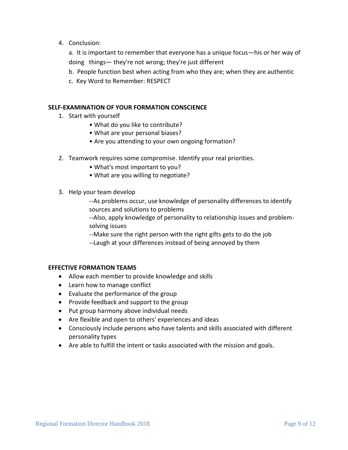4. Conclusion:

a. It is important to remember that everyone has a unique focus—his or her way of doing things— they're not wrong; they're just different

- b. People function best when acting from who they are; when they are authentic
- c. Key Word to Remember: RESPECT

#### **SELF-EXAMINATION OF YOUR FORMATION CONSCIENCE**

- 1. Start with yourself
	- What do you like to contribute?
	- What are your personal biases?
	- Are you attending to your own ongoing formation?
- 2. Teamwork requires some compromise. Identify your real priorities.
	- What's most important to you?
	- What are you willing to negotiate?
- 3. Help your team develop

--As problems occur, use knowledge of personality differences to identify sources and solutions to problems

--Also, apply knowledge of personality to relationship issues and problemsolving issues

--Make sure the right person with the right gifts gets to do the job --Laugh at your differences instead of being annoyed by them

#### **EFFECTIVE FORMATION TEAMS**

- Allow each member to provide knowledge and skills
- Learn how to manage conflict
- Evaluate the performance of the group
- Provide feedback and support to the group
- Put group harmony above individual needs
- Are flexible and open to others' experiences and ideas
- Consciously include persons who have talents and skills associated with different personality types
- Are able to fulfill the intent or tasks associated with the mission and goals.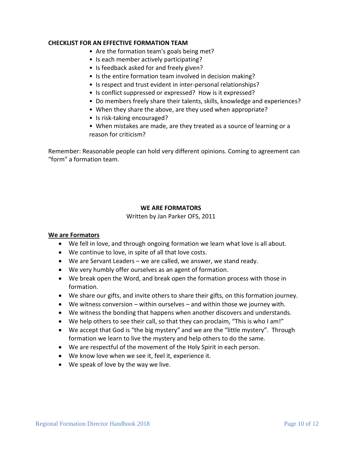#### **CHECKLIST FOR AN EFFECTIVE FORMATION TEAM**

- Are the formation team's goals being met?
- Is each member actively participating?
- Is feedback asked for and freely given?
- Is the entire formation team involved in decision making?
- Is respect and trust evident in inter-personal relationships?
- Is conflict suppressed or expressed? How is it expressed?
- Do members freely share their talents, skills, knowledge and experiences?
- When they share the above, are they used when appropriate?
- Is risk-taking encouraged?
- When mistakes are made, are they treated as a source of learning or a reason for criticism?

Remember: Reasonable people can hold very different opinions. Coming to agreement can "form" a formation team.

# **WE ARE FORMATORS**

Written by Jan Parker OFS, 2011

#### **We are Formators**

- We fell in love, and through ongoing formation we learn what love is all about.
- We continue to love, in spite of all that love costs.
- We are Servant Leaders we are called, we answer, we stand ready.
- We very humbly offer ourselves as an agent of formation.
- We break open the Word, and break open the formation process with those in formation.
- We share our gifts, and invite others to share their gifts, on this formation journey.
- We witness conversion within ourselves and within those we journey with.
- We witness the bonding that happens when another discovers and understands.
- We help others to see their call, so that they can proclaim, "This is who I am!"
- We accept that God is "the big mystery" and we are the "little mystery". Through formation we learn to live the mystery and help others to do the same.
- We are respectful of the movement of the Holy Spirit in each person.
- We know love when we see it, feel it, experience it.
- We speak of love by the way we live.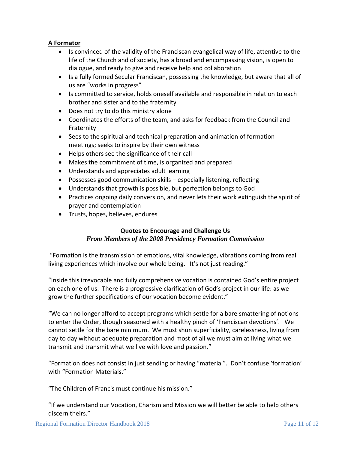# **A Formator**

- Is convinced of the validity of the Franciscan evangelical way of life, attentive to the life of the Church and of society, has a broad and encompassing vision, is open to dialogue, and ready to give and receive help and collaboration
- Is a fully formed Secular Franciscan, possessing the knowledge, but aware that all of us are "works in progress"
- Is committed to service, holds oneself available and responsible in relation to each brother and sister and to the fraternity
- Does not try to do this ministry alone
- Coordinates the efforts of the team, and asks for feedback from the Council and Fraternity
- Sees to the spiritual and technical preparation and animation of formation meetings; seeks to inspire by their own witness
- Helps others see the significance of their call
- Makes the commitment of time, is organized and prepared
- Understands and appreciates adult learning
- Possesses good communication skills especially listening, reflecting
- Understands that growth is possible, but perfection belongs to God
- Practices ongoing daily conversion, and never lets their work extinguish the spirit of prayer and contemplation
- Trusts, hopes, believes, endures

# **Quotes to Encourage and Challenge Us** *From Members of the 2008 Presidency Formation Commission*

"Formation is the transmission of emotions, vital knowledge, vibrations coming from real living experiences which involve our whole being. It's not just reading."

"Inside this irrevocable and fully comprehensive vocation is contained God's entire project on each one of us. There is a progressive clarification of God's project in our life: as we grow the further specifications of our vocation become evident."

"We can no longer afford to accept programs which settle for a bare smattering of notions to enter the Order, though seasoned with a healthy pinch of 'Franciscan devotions'. We cannot settle for the bare minimum. We must shun superficiality, carelessness, living from day to day without adequate preparation and most of all we must aim at living what we transmit and transmit what we live with love and passion."

"Formation does not consist in just sending or having "material". Don't confuse 'formation' with "Formation Materials."

"The Children of Francis must continue his mission."

"If we understand our Vocation, Charism and Mission we will better be able to help others discern theirs."